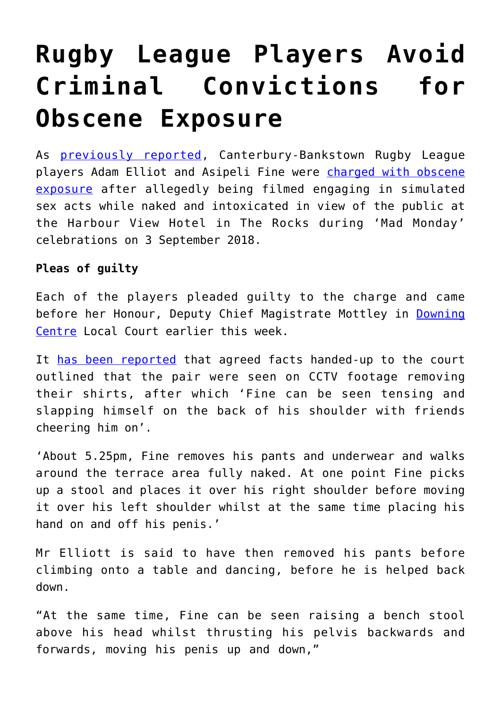# **[Rugby League Players Avoid](https://downingcentrecourt.com.au/blog/rugby-league-players-avoid-criminal-convictions-for-obscene-exposure/) [Criminal Convictions for](https://downingcentrecourt.com.au/blog/rugby-league-players-avoid-criminal-convictions-for-obscene-exposure/) [Obscene Exposure](https://downingcentrecourt.com.au/blog/rugby-league-players-avoid-criminal-convictions-for-obscene-exposure/)**

As [previously reported,](https://downingcentrecourt.com.au/blog/rugby-league-players-charged-with-obscene-exposure/) Canterbury-Bankstown Rugby League players Adam Elliot and Asipeli Fine were [charged with obscene](https://www.sydneycriminallawyers.com.au/criminal/legislation/summary-offences-act/obscene-exposure/) [exposure](https://www.sydneycriminallawyers.com.au/criminal/legislation/summary-offences-act/obscene-exposure/) after allegedly being filmed engaging in simulated sex acts while naked and intoxicated in view of the public at the Harbour View Hotel in The Rocks during 'Mad Monday' celebrations on 3 September 2018.

## **Pleas of guilty**

Each of the players pleaded guilty to the charge and came before her Honour, Deputy Chief Magistrate Mottley in [Downing](http://downingcentrecourt.com.au/) [Centre](http://downingcentrecourt.com.au/) Local Court earlier this week.

It [has been reported](https://www.smh.com.au/national/nsw/disgraceful-by-any-standard-lewd-details-of-bulldogs-s-mad-monday-antics-20181217-p50mrv.html) that agreed facts handed-up to the court outlined that the pair were seen on CCTV footage removing their shirts, after which 'Fine can be seen tensing and slapping himself on the back of his shoulder with friends cheering him on'.

'About 5.25pm, Fine removes his pants and underwear and walks around the terrace area fully naked. At one point Fine picks up a stool and places it over his right shoulder before moving it over his left shoulder whilst at the same time placing his hand on and off his penis.'

Mr Elliott is said to have then removed his pants before climbing onto a table and dancing, before he is helped back down.

"At the same time, Fine can be seen raising a bench stool above his head whilst thrusting his pelvis backwards and forwards, moving his penis up and down,"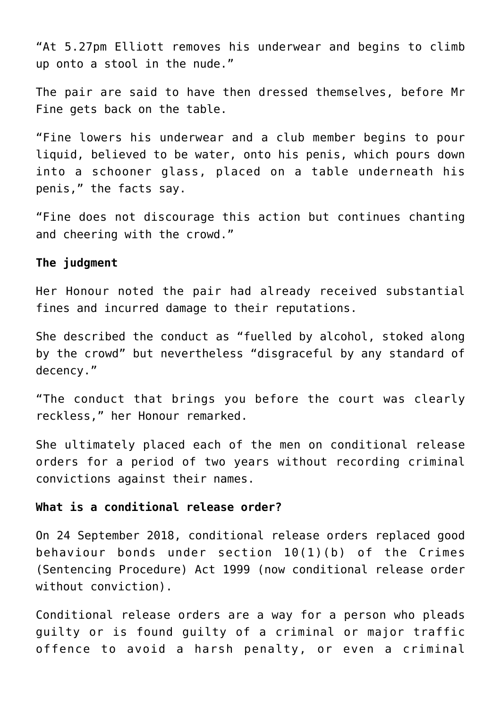"At 5.27pm Elliott removes his underwear and begins to climb up onto a stool in the nude."

The pair are said to have then dressed themselves, before Mr Fine gets back on the table.

"Fine lowers his underwear and a club member begins to pour liquid, believed to be water, onto his penis, which pours down into a schooner glass, placed on a table underneath his penis," the facts say.

"Fine does not discourage this action but continues chanting and cheering with the crowd."

#### **The judgment**

Her Honour noted the pair had already received substantial fines and incurred damage to their reputations.

She described the conduct as "fuelled by alcohol, stoked along by the crowd" but nevertheless "disgraceful by any standard of decency."

"The conduct that brings you before the court was clearly reckless," her Honour remarked.

She ultimately placed each of the men on conditional release orders for a period of two years without recording criminal convictions against their names.

#### **What is a conditional release order?**

On 24 September 2018, conditional release orders replaced good behaviour bonds under section 10(1)(b) of the Crimes (Sentencing Procedure) Act 1999 (now conditional release order without conviction).

Conditional release orders are a way for a person who pleads guilty or is found guilty of a criminal or major traffic offence to avoid a harsh penalty, or even a criminal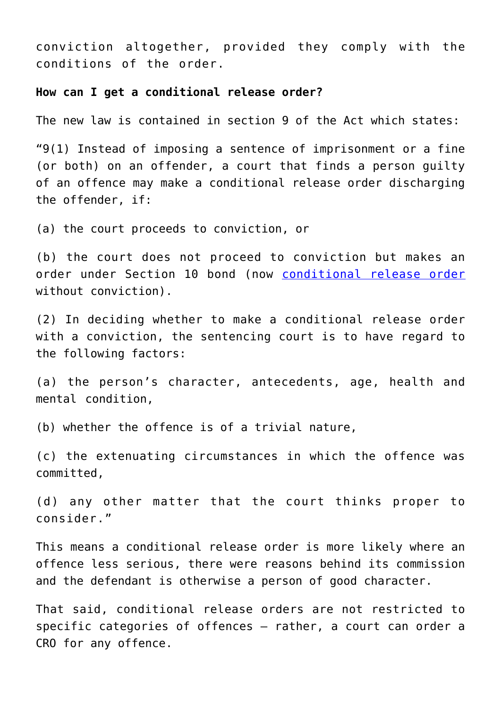conviction altogether, provided they comply with the conditions of the order.

#### **How can I get a conditional release order?**

The new law is contained in section 9 of the Act which states:

"9(1) Instead of imposing a sentence of imprisonment or a fine (or both) on an offender, a court that finds a person guilty of an offence may make a conditional release order discharging the offender, if:

(a) the court proceeds to conviction, or

(b) the court does not proceed to conviction but makes an order under Section 10 bond (now [conditional release order](https://www.sydneycriminallawyers.com.au/criminal/penalties/nsw/conditional-release-order/) without conviction).

(2) In deciding whether to make a conditional release order with a conviction, the sentencing court is to have regard to the following factors:

(a) the person's character, antecedents, age, health and mental condition,

(b) whether the offence is of a trivial nature,

(c) the extenuating circumstances in which the offence was committed,

(d) any other matter that the court thinks proper to consider."

This means a conditional release order is more likely where an offence less serious, there were reasons behind its commission and the defendant is otherwise a person of good character.

That said, conditional release orders are not restricted to specific categories of offences – rather, a court can order a CRO for any offence.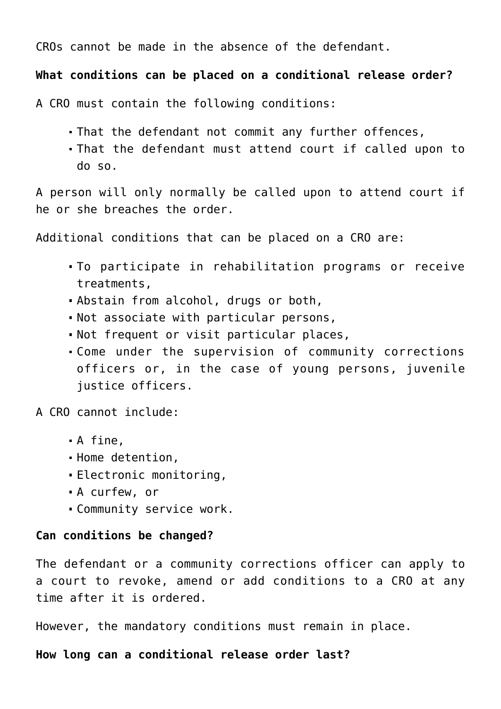CROs cannot be made in the absence of the defendant.

## **What conditions can be placed on a conditional release order?**

A CRO must contain the following conditions:

- That the defendant not commit any further offences,
- That the defendant must attend court if called upon to do so.

A person will only normally be called upon to attend court if he or she breaches the order.

Additional conditions that can be placed on a CRO are:

- To participate in rehabilitation programs or receive treatments,
- Abstain from alcohol, drugs or both,
- Not associate with particular persons,
- Not frequent or visit particular places,
- Come under the supervision of community corrections officers or, in the case of young persons, juvenile justice officers.

A CRO cannot include:

- A fine,
- Home detention,
- Electronic monitoring,
- A curfew, or
- Community service work.

## **Can conditions be changed?**

The defendant or a community corrections officer can apply to a court to revoke, amend or add conditions to a CRO at any time after it is ordered.

However, the mandatory conditions must remain in place.

## **How long can a conditional release order last?**